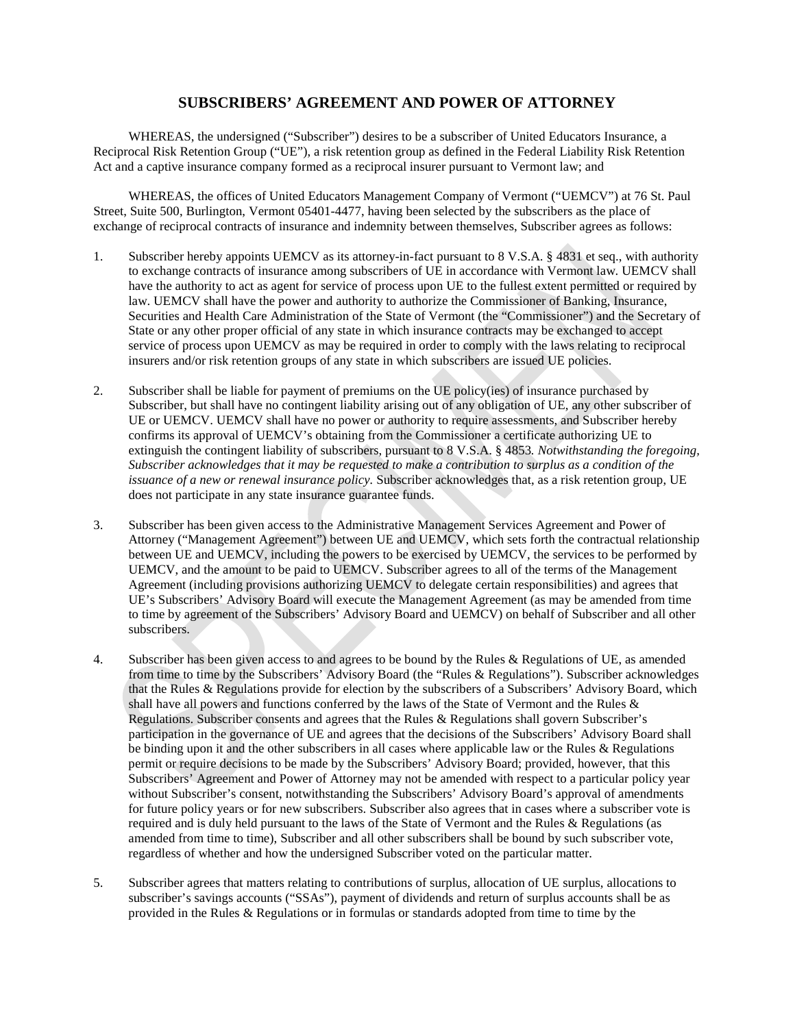## **SUBSCRIBERS' AGREEMENT AND POWER OF ATTORNEY**

WHEREAS, the undersigned ("Subscriber") desires to be a subscriber of United Educators Insurance, a Reciprocal Risk Retention Group ("UE"), a risk retention group as defined in the Federal Liability Risk Retention Act and a captive insurance company formed as a reciprocal insurer pursuant to Vermont law; and

WHEREAS, the offices of United Educators Management Company of Vermont ("UEMCV") at 76 St. Paul Street, Suite 500, Burlington, Vermont 05401-4477, having been selected by the subscribers as the place of exchange of reciprocal contracts of insurance and indemnity between themselves, Subscriber agrees as follows:

- 1. Subscriber hereby appoints UEMCV as its attorney-in-fact pursuant to 8 V.S.A. § 4831 et seq., with authority to exchange contracts of insurance among subscribers of UE in accordance with Vermont law. UEMCV shall have the authority to act as agent for service of process upon UE to the fullest extent permitted or required by law. UEMCV shall have the power and authority to authorize the Commissioner of Banking, Insurance, Securities and Health Care Administration of the State of Vermont (the "Commissioner") and the Secretary of State or any other proper official of any state in which insurance contracts may be exchanged to accept service of process upon UEMCV as may be required in order to comply with the laws relating to reciprocal insurers and/or risk retention groups of any state in which subscribers are issued UE policies.
- 2. Subscriber shall be liable for payment of premiums on the UE policy(ies) of insurance purchased by Subscriber, but shall have no contingent liability arising out of any obligation of UE, any other subscriber of UE or UEMCV. UEMCV shall have no power or authority to require assessments, and Subscriber hereby confirms its approval of UEMCV's obtaining from the Commissioner a certificate authorizing UE to extinguish the contingent liability of subscribers, pursuant to 8 V.S.A. § 4853*. Notwithstanding the foregoing, Subscriber acknowledges that it may be requested to make a contribution to surplus as a condition of the issuance of a new or renewal insurance policy.* Subscriber acknowledges that, as a risk retention group, UE does not participate in any state insurance guarantee funds.
- 3. Subscriber has been given access to the Administrative Management Services Agreement and Power of Attorney ("Management Agreement") between UE and UEMCV, which sets forth the contractual relationship between UE and UEMCV, including the powers to be exercised by UEMCV, the services to be performed by UEMCV, and the amount to be paid to UEMCV. Subscriber agrees to all of the terms of the Management Agreement (including provisions authorizing UEMCV to delegate certain responsibilities) and agrees that UE's Subscribers' Advisory Board will execute the Management Agreement (as may be amended from time to time by agreement of the Subscribers' Advisory Board and UEMCV) on behalf of Subscriber and all other subscribers.
- 4. Subscriber has been given access to and agrees to be bound by the Rules & Regulations of UE, as amended from time to time by the Subscribers' Advisory Board (the "Rules & Regulations"). Subscriber acknowledges that the Rules & Regulations provide for election by the subscribers of a Subscribers' Advisory Board, which shall have all powers and functions conferred by the laws of the State of Vermont and the Rules & Regulations. Subscriber consents and agrees that the Rules & Regulations shall govern Subscriber's participation in the governance of UE and agrees that the decisions of the Subscribers' Advisory Board shall be binding upon it and the other subscribers in all cases where applicable law or the Rules & Regulations permit or require decisions to be made by the Subscribers' Advisory Board; provided, however, that this Subscribers' Agreement and Power of Attorney may not be amended with respect to a particular policy year without Subscriber's consent, notwithstanding the Subscribers' Advisory Board's approval of amendments for future policy years or for new subscribers. Subscriber also agrees that in cases where a subscriber vote is required and is duly held pursuant to the laws of the State of Vermont and the Rules & Regulations (as amended from time to time), Subscriber and all other subscribers shall be bound by such subscriber vote, regardless of whether and how the undersigned Subscriber voted on the particular matter.
- 5. Subscriber agrees that matters relating to contributions of surplus, allocation of UE surplus, allocations to subscriber's savings accounts ("SSAs"), payment of dividends and return of surplus accounts shall be as provided in the Rules & Regulations or in formulas or standards adopted from time to time by the